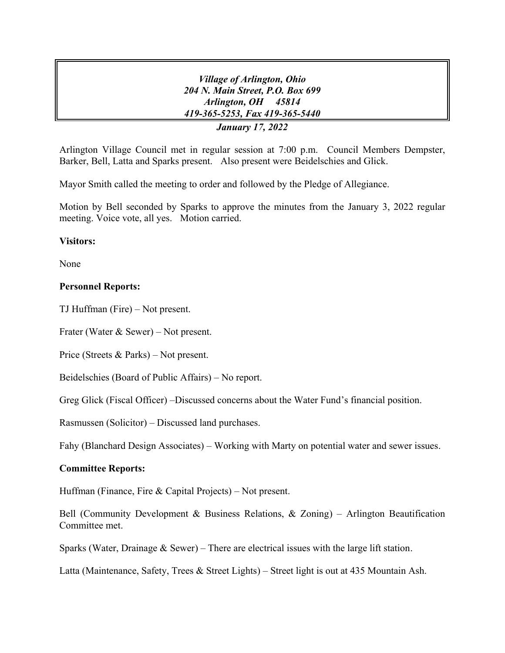*Village of Arlington, Ohio 204 N. Main Street, P.O. Box 699 Arlington, OH 45814 419-365-5253, Fax 419-365-5440 January 17, 2022*

Arlington Village Council met in regular session at 7:00 p.m. Council Members Dempster, Barker, Bell, Latta and Sparks present. Also present were Beidelschies and Glick.

Mayor Smith called the meeting to order and followed by the Pledge of Allegiance.

Motion by Bell seconded by Sparks to approve the minutes from the January 3, 2022 regular meeting. Voice vote, all yes. Motion carried.

# **Visitors:**

None

### **Personnel Reports:**

TJ Huffman (Fire) – Not present.

Frater (Water & Sewer) – Not present.

Price (Streets & Parks) – Not present.

Beidelschies (Board of Public Affairs) – No report.

Greg Glick (Fiscal Officer) –Discussed concerns about the Water Fund's financial position.

Rasmussen (Solicitor) – Discussed land purchases.

Fahy (Blanchard Design Associates) – Working with Marty on potential water and sewer issues.

# **Committee Reports:**

Huffman (Finance, Fire & Capital Projects) – Not present.

Bell (Community Development & Business Relations,  $\&$  Zoning) – Arlington Beautification Committee met.

Sparks (Water, Drainage & Sewer) – There are electrical issues with the large lift station.

Latta (Maintenance, Safety, Trees & Street Lights) – Street light is out at 435 Mountain Ash.